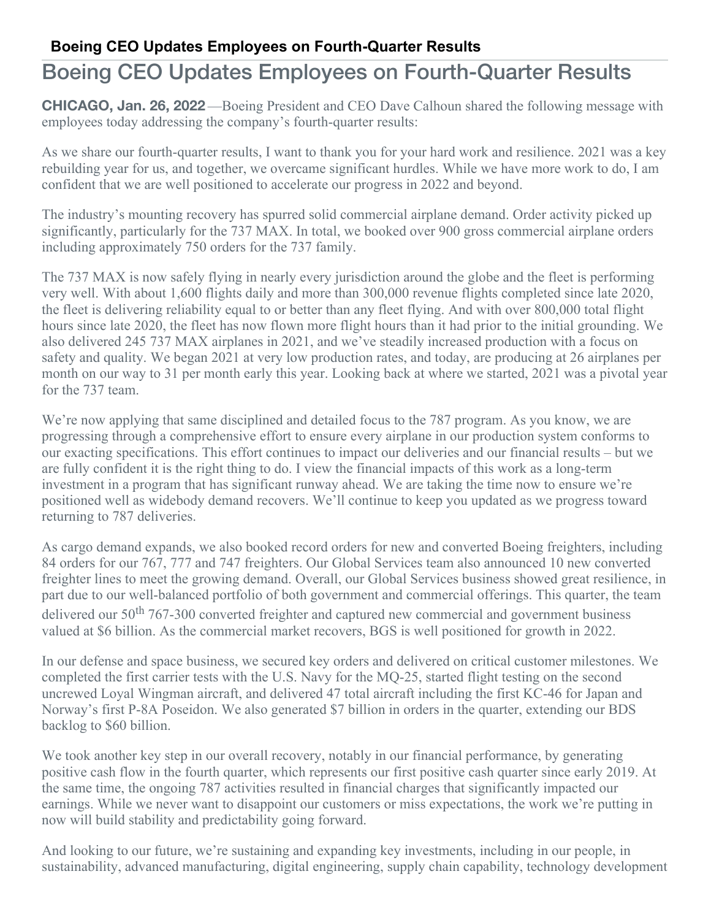## Boeing CEO Updates Employees on Fourth-Quarter Results

**CHICAGO, Jan. 26, 2022** —Boeing President and CEO Dave Calhoun shared the following message with employees today addressing the company's fourth-quarter results:

As we share our fourth-quarter results, I want to thank you for your hard work and resilience. 2021 was a key rebuilding year for us, and together, we overcame significant hurdles. While we have more work to do, I am confident that we are well positioned to accelerate our progress in 2022 and beyond.

The industry's mounting recovery has spurred solid commercial airplane demand. Order activity picked up significantly, particularly for the 737 MAX. In total, we booked over 900 gross commercial airplane orders including approximately 750 orders for the 737 family.

The 737 MAX is now safely flying in nearly every jurisdiction around the globe and the fleet is performing very well. With about 1,600 flights daily and more than 300,000 revenue flights completed since late 2020, the fleet is delivering reliability equal to or better than any fleet flying. And with over 800,000 total flight hours since late 2020, the fleet has now flown more flight hours than it had prior to the initial grounding. We also delivered 245 737 MAX airplanes in 2021, and we've steadily increased production with a focus on safety and quality. We began 2021 at very low production rates, and today, are producing at 26 airplanes per month on our way to 31 per month early this year. Looking back at where we started, 2021 was a pivotal year for the 737 team.

We're now applying that same disciplined and detailed focus to the 787 program. As you know, we are progressing through a comprehensive effort to ensure every airplane in our production system conforms to our exacting specifications. This effort continues to impact our deliveries and our financial results – but we are fully confident it is the right thing to do. I view the financial impacts of this work as a long-term investment in a program that has significant runway ahead. We are taking the time now to ensure we're positioned well as widebody demand recovers. We'll continue to keep you updated as we progress toward returning to 787 deliveries.

As cargo demand expands, we also booked record orders for new and converted Boeing freighters, including 84 orders for our 767, 777 and 747 freighters. Our Global Services team also announced 10 new converted freighter lines to meet the growing demand. Overall, our Global Services business showed great resilience, in part due to our well-balanced portfolio of both government and commercial offerings. This quarter, the team delivered our  $50<sup>th</sup>$  767-300 converted freighter and captured new commercial and government business valued at \$6 billion. As the commercial market recovers, BGS is well positioned for growth in 2022.

In our defense and space business, we secured key orders and delivered on critical customer milestones. We completed the first carrier tests with the U.S. Navy for the MQ-25, started flight testing on the second uncrewed Loyal Wingman aircraft, and delivered 47 total aircraft including the first KC-46 for Japan and Norway's first P-8A Poseidon. We also generated \$7 billion in orders in the quarter, extending our BDS backlog to \$60 billion.

We took another key step in our overall recovery, notably in our financial performance, by generating positive cash flow in the fourth quarter, which represents our first positive cash quarter since early 2019. At the same time, the ongoing 787 activities resulted in financial charges that significantly impacted our earnings. While we never want to disappoint our customers or miss expectations, the work we're putting in now will build stability and predictability going forward.

And looking to our future, we're sustaining and expanding key investments, including in our people, in sustainability, advanced manufacturing, digital engineering, supply chain capability, technology development